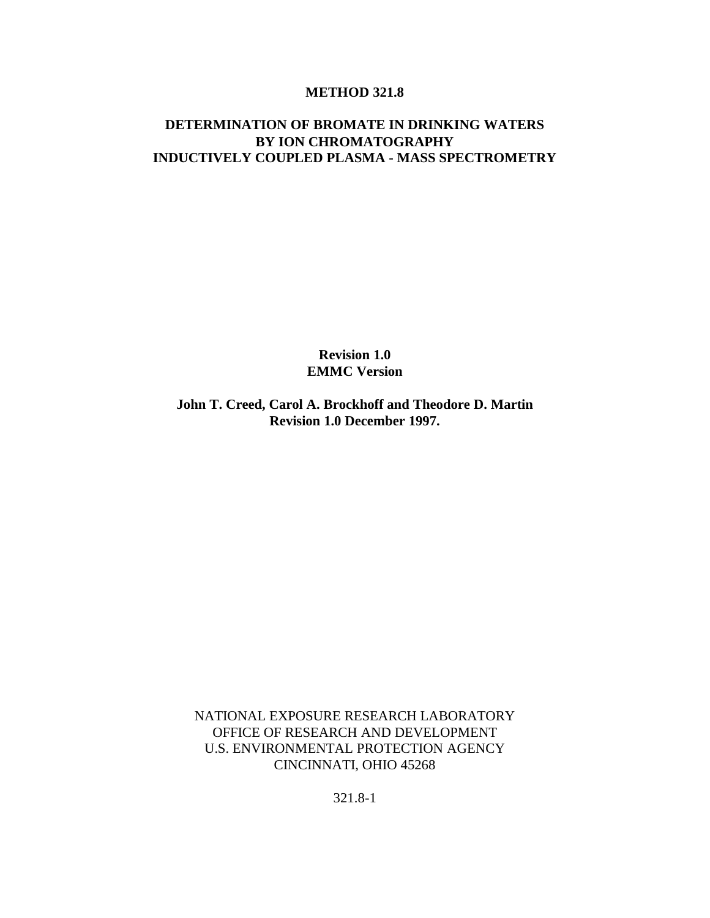#### **METHOD 321.8**

### **DETERMINATION OF BROMATE IN DRINKING WATERS BY ION CHROMATOGRAPHY INDUCTIVELY COUPLED PLASMA - MASS SPECTROMETRY**

**Revision 1.0 EMMC Version**

**John T. Creed, Carol A. Brockhoff and Theodore D. Martin Revision 1.0 December 1997.**

NATIONAL EXPOSURE RESEARCH LABORATORY OFFICE OF RESEARCH AND DEVELOPMENT U.S. ENVIRONMENTAL PROTECTION AGENCY CINCINNATI, OHIO 45268

321.8-1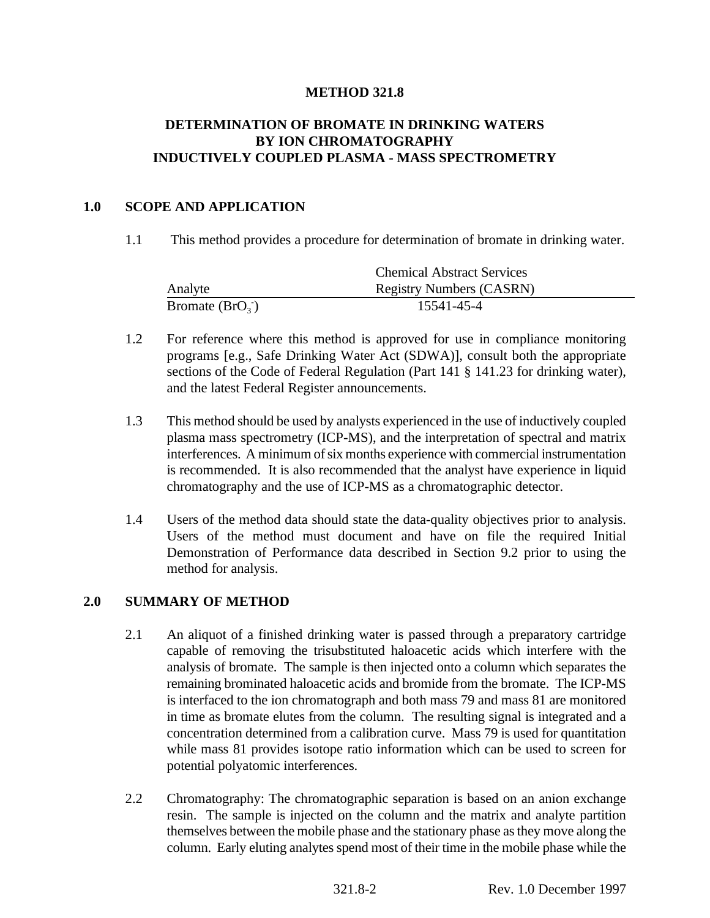## **METHOD 321.8**

# **DETERMINATION OF BROMATE IN DRINKING WATERS BY ION CHROMATOGRAPHY INDUCTIVELY COUPLED PLASMA - MASS SPECTROMETRY**

#### **1.0 SCOPE AND APPLICATION**

1.1 This method provides a procedure for determination of bromate in drinking water.

|                   | <b>Chemical Abstract Services</b> |  |
|-------------------|-----------------------------------|--|
| Analyte           | <b>Registry Numbers (CASRN)</b>   |  |
| Bromate $(BrO_3)$ | 15541-45-4                        |  |

- 1.2 For reference where this method is approved for use in compliance monitoring programs [e.g., Safe Drinking Water Act (SDWA)], consult both the appropriate sections of the Code of Federal Regulation (Part 141 § 141.23 for drinking water), and the latest Federal Register announcements.
- 1.3 This method should be used by analysts experienced in the use of inductively coupled plasma mass spectrometry (ICP-MS), and the interpretation of spectral and matrix interferences. A minimum of six months experience with commercial instrumentation is recommended. It is also recommended that the analyst have experience in liquid chromatography and the use of ICP-MS as a chromatographic detector.
- 1.4 Users of the method data should state the data-quality objectives prior to analysis. Users of the method must document and have on file the required Initial Demonstration of Performance data described in Section 9.2 prior to using the method for analysis.

#### **2.0 SUMMARY OF METHOD**

- 2.1 An aliquot of a finished drinking water is passed through a preparatory cartridge capable of removing the trisubstituted haloacetic acids which interfere with the analysis of bromate. The sample is then injected onto a column which separates the remaining brominated haloacetic acids and bromide from the bromate. The ICP-MS is interfaced to the ion chromatograph and both mass 79 and mass 81 are monitored in time as bromate elutes from the column. The resulting signal is integrated and a concentration determined from a calibration curve. Mass 79 is used for quantitation while mass 81 provides isotope ratio information which can be used to screen for potential polyatomic interferences.
- 2.2 Chromatography: The chromatographic separation is based on an anion exchange resin. The sample is injected on the column and the matrix and analyte partition themselves between the mobile phase and the stationary phase as they move along the column. Early eluting analytes spend most of their time in the mobile phase while the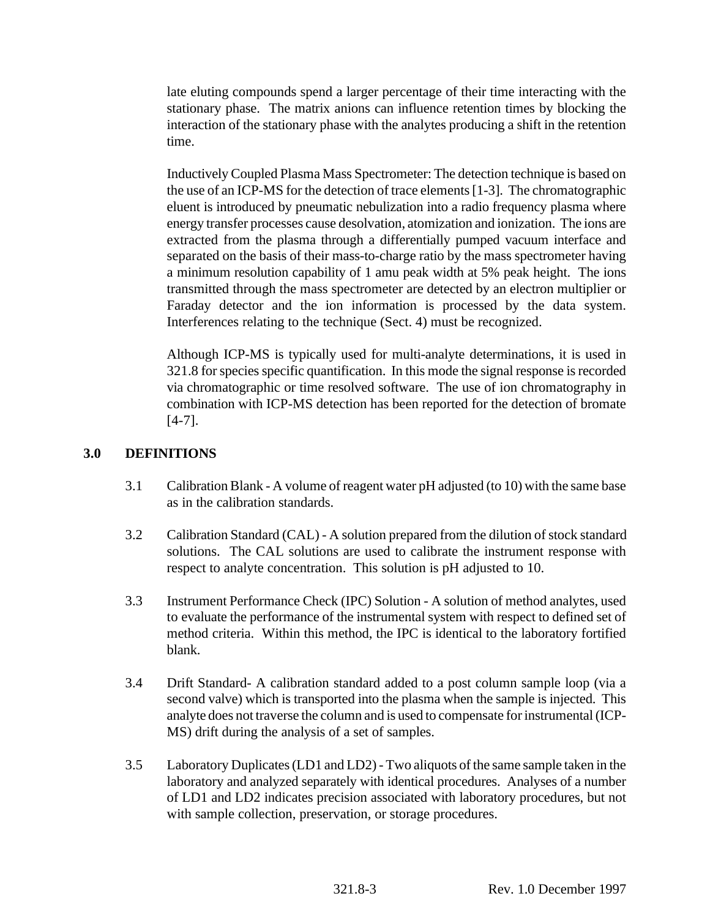late eluting compounds spend a larger percentage of their time interacting with the stationary phase. The matrix anions can influence retention times by blocking the interaction of the stationary phase with the analytes producing a shift in the retention time.

Inductively Coupled Plasma Mass Spectrometer: The detection technique is based on the use of an ICP-MS for the detection of trace elements [1-3]. The chromatographic eluent is introduced by pneumatic nebulization into a radio frequency plasma where energy transfer processes cause desolvation, atomization and ionization. The ions are extracted from the plasma through a differentially pumped vacuum interface and separated on the basis of their mass-to-charge ratio by the mass spectrometer having a minimum resolution capability of 1 amu peak width at 5% peak height. The ions transmitted through the mass spectrometer are detected by an electron multiplier or Faraday detector and the ion information is processed by the data system. Interferences relating to the technique (Sect. 4) must be recognized.

Although ICP-MS is typically used for multi-analyte determinations, it is used in 321.8 for species specific quantification. In this mode the signal response is recorded via chromatographic or time resolved software. The use of ion chromatography in combination with ICP-MS detection has been reported for the detection of bromate [4-7].

# **3.0 DEFINITIONS**

- 3.1 Calibration Blank A volume of reagent water pH adjusted (to 10) with the same base as in the calibration standards.
- 3.2 Calibration Standard (CAL) A solution prepared from the dilution of stock standard solutions. The CAL solutions are used to calibrate the instrument response with respect to analyte concentration. This solution is pH adjusted to 10.
- 3.3 Instrument Performance Check (IPC) Solution A solution of method analytes, used to evaluate the performance of the instrumental system with respect to defined set of method criteria. Within this method, the IPC is identical to the laboratory fortified blank.
- 3.4 Drift Standard- A calibration standard added to a post column sample loop (via a second valve) which is transported into the plasma when the sample is injected. This analyte does not traverse the column and is used to compensate for instrumental (ICP-MS) drift during the analysis of a set of samples.
- 3.5 Laboratory Duplicates (LD1 and LD2) Two aliquots of the same sample taken in the laboratory and analyzed separately with identical procedures. Analyses of a number of LD1 and LD2 indicates precision associated with laboratory procedures, but not with sample collection, preservation, or storage procedures.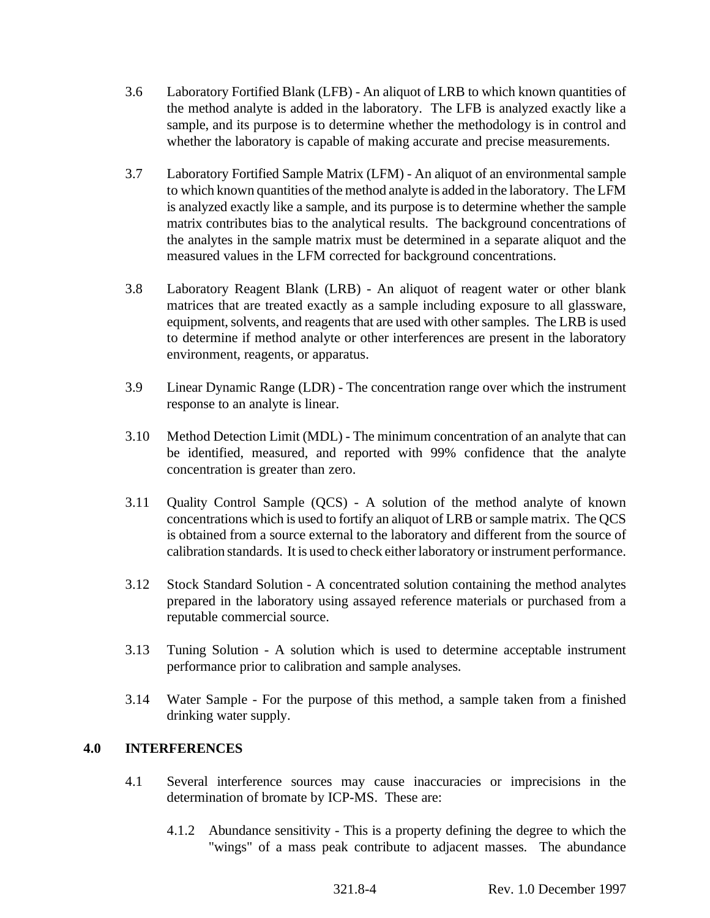- 3.6 Laboratory Fortified Blank (LFB) An aliquot of LRB to which known quantities of the method analyte is added in the laboratory. The LFB is analyzed exactly like a sample, and its purpose is to determine whether the methodology is in control and whether the laboratory is capable of making accurate and precise measurements.
- 3.7 Laboratory Fortified Sample Matrix (LFM) An aliquot of an environmental sample to which known quantities of the method analyte is added in the laboratory. The LFM is analyzed exactly like a sample, and its purpose is to determine whether the sample matrix contributes bias to the analytical results. The background concentrations of the analytes in the sample matrix must be determined in a separate aliquot and the measured values in the LFM corrected for background concentrations.
- 3.8 Laboratory Reagent Blank (LRB) An aliquot of reagent water or other blank matrices that are treated exactly as a sample including exposure to all glassware, equipment, solvents, and reagents that are used with other samples. The LRB is used to determine if method analyte or other interferences are present in the laboratory environment, reagents, or apparatus.
- 3.9 Linear Dynamic Range (LDR) The concentration range over which the instrument response to an analyte is linear.
- 3.10 Method Detection Limit (MDL) The minimum concentration of an analyte that can be identified, measured, and reported with 99% confidence that the analyte concentration is greater than zero.
- 3.11 Quality Control Sample (QCS) A solution of the method analyte of known concentrations which is used to fortify an aliquot of LRB or sample matrix. The QCS is obtained from a source external to the laboratory and different from the source of calibration standards. It is used to check either laboratory or instrument performance.
- 3.12 Stock Standard Solution A concentrated solution containing the method analytes prepared in the laboratory using assayed reference materials or purchased from a reputable commercial source.
- 3.13 Tuning Solution A solution which is used to determine acceptable instrument performance prior to calibration and sample analyses.
- 3.14 Water Sample For the purpose of this method, a sample taken from a finished drinking water supply.

# **4.0 INTERFERENCES**

- 4.1 Several interference sources may cause inaccuracies or imprecisions in the determination of bromate by ICP-MS. These are:
	- 4.1.2 Abundance sensitivity This is a property defining the degree to which the "wings" of a mass peak contribute to adjacent masses. The abundance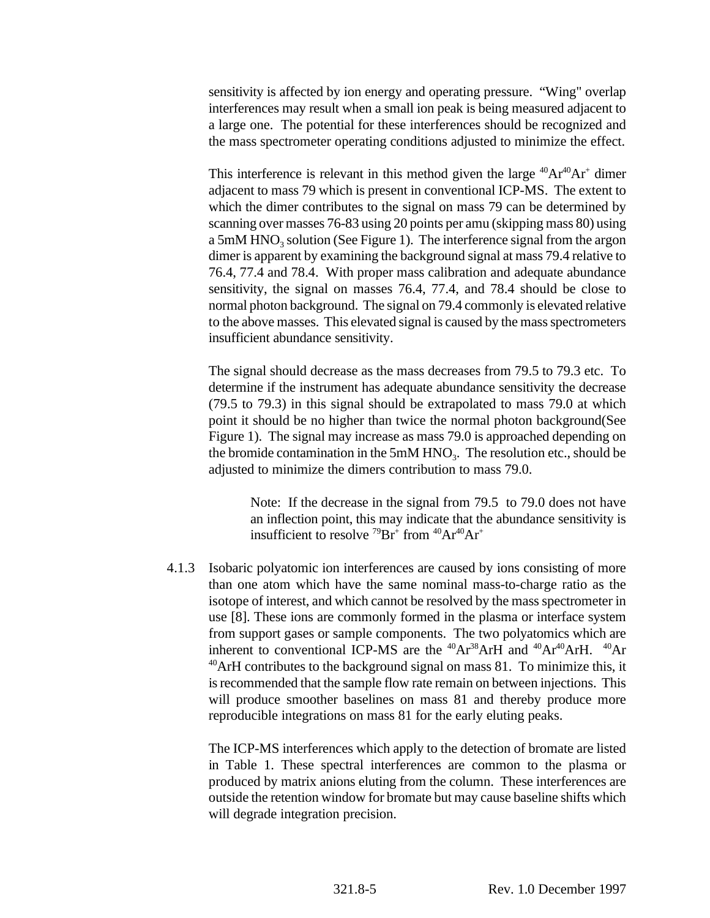sensitivity is affected by ion energy and operating pressure. "Wing" overlap interferences may result when a small ion peak is being measured adjacent to a large one. The potential for these interferences should be recognized and the mass spectrometer operating conditions adjusted to minimize the effect.

This interference is relevant in this method given the large  ${}^{40}Ar^{40}Ar^{+}$  dimer adjacent to mass 79 which is present in conventional ICP-MS. The extent to which the dimer contributes to the signal on mass 79 can be determined by scanning over masses 76-83 using 20 points per amu (skipping mass 80) using a 5mM  $HNO<sub>3</sub>$  solution (See Figure 1). The interference signal from the argon dimer is apparent by examining the background signal at mass 79.4 relative to 76.4, 77.4 and 78.4. With proper mass calibration and adequate abundance sensitivity, the signal on masses 76.4, 77.4, and 78.4 should be close to normal photon background. The signal on 79.4 commonly is elevated relative to the above masses. This elevated signal is caused by the mass spectrometers insufficient abundance sensitivity.

The signal should decrease as the mass decreases from 79.5 to 79.3 etc. To determine if the instrument has adequate abundance sensitivity the decrease (79.5 to 79.3) in this signal should be extrapolated to mass 79.0 at which point it should be no higher than twice the normal photon background(See Figure 1). The signal may increase as mass 79.0 is approached depending on the bromide contamination in the  $5mM HNO<sub>3</sub>$ . The resolution etc., should be adjusted to minimize the dimers contribution to mass 79.0.

Note: If the decrease in the signal from 79.5 to 79.0 does not have an inflection point, this may indicate that the abundance sensitivity is insufficient to resolve  $^{79}Br^+$  from  $^{40}Ar^{40}Ar^+$ 

4.1.3 Isobaric polyatomic ion interferences are caused by ions consisting of more than one atom which have the same nominal mass-to-charge ratio as the isotope of interest, and which cannot be resolved by the mass spectrometer in use [8]. These ions are commonly formed in the plasma or interface system from support gases or sample components. The two polyatomics which are inherent to conventional ICP-MS are the  $^{40}Ar^{38}ArH$  and  $^{40}Ar^{40}ArH$ .  $^{40}Ar$  $40$ ArH contributes to the background signal on mass 81. To minimize this, it is recommended that the sample flow rate remain on between injections. This will produce smoother baselines on mass 81 and thereby produce more reproducible integrations on mass 81 for the early eluting peaks.

The ICP-MS interferences which apply to the detection of bromate are listed in Table 1. These spectral interferences are common to the plasma or produced by matrix anions eluting from the column. These interferences are outside the retention window for bromate but may cause baseline shifts which will degrade integration precision.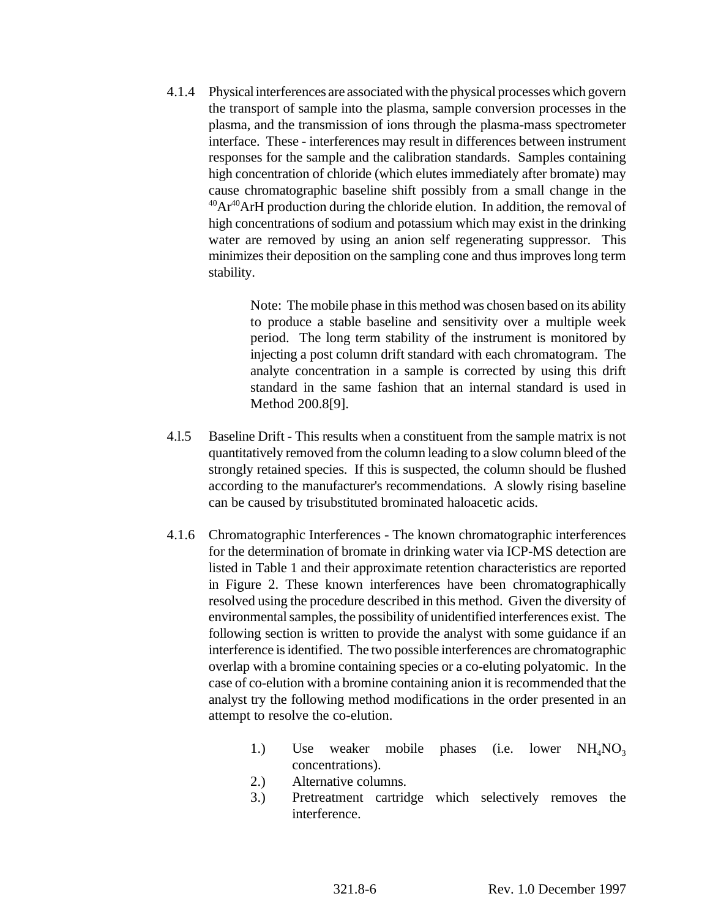4.1.4 Physical interferences are associated with the physical processes which govern the transport of sample into the plasma, sample conversion processes in the plasma, and the transmission of ions through the plasma-mass spectrometer interface. These - interferences may result in differences between instrument responses for the sample and the calibration standards. Samples containing high concentration of chloride (which elutes immediately after bromate) may cause chromatographic baseline shift possibly from a small change in the  $^{40}Ar^{40}ArH$  production during the chloride elution. In addition, the removal of high concentrations of sodium and potassium which may exist in the drinking water are removed by using an anion self regenerating suppressor. This minimizes their deposition on the sampling cone and thus improves long term stability.

> Note: The mobile phase in this method was chosen based on its ability to produce a stable baseline and sensitivity over a multiple week period. The long term stability of the instrument is monitored by injecting a post column drift standard with each chromatogram. The analyte concentration in a sample is corrected by using this drift standard in the same fashion that an internal standard is used in Method 200.8[9].

- 4.l.5 Baseline Drift This results when a constituent from the sample matrix is not quantitatively removed from the column leading to a slow column bleed of the strongly retained species. If this is suspected, the column should be flushed according to the manufacturer's recommendations. A slowly rising baseline can be caused by trisubstituted brominated haloacetic acids.
- 4.1.6 Chromatographic Interferences The known chromatographic interferences for the determination of bromate in drinking water via ICP-MS detection are listed in Table 1 and their approximate retention characteristics are reported in Figure 2. These known interferences have been chromatographically resolved using the procedure described in this method. Given the diversity of environmental samples, the possibility of unidentified interferences exist. The following section is written to provide the analyst with some guidance if an interference is identified. The two possible interferences are chromatographic overlap with a bromine containing species or a co-eluting polyatomic. In the case of co-elution with a bromine containing anion it is recommended that the analyst try the following method modifications in the order presented in an attempt to resolve the co-elution.
	- 1.) Use weaker mobile phases (i.e. lower  $NH<sub>4</sub>NO<sub>3</sub>$ concentrations).
	- 2.) Alternative columns.
	- 3.) Pretreatment cartridge which selectively removes the interference.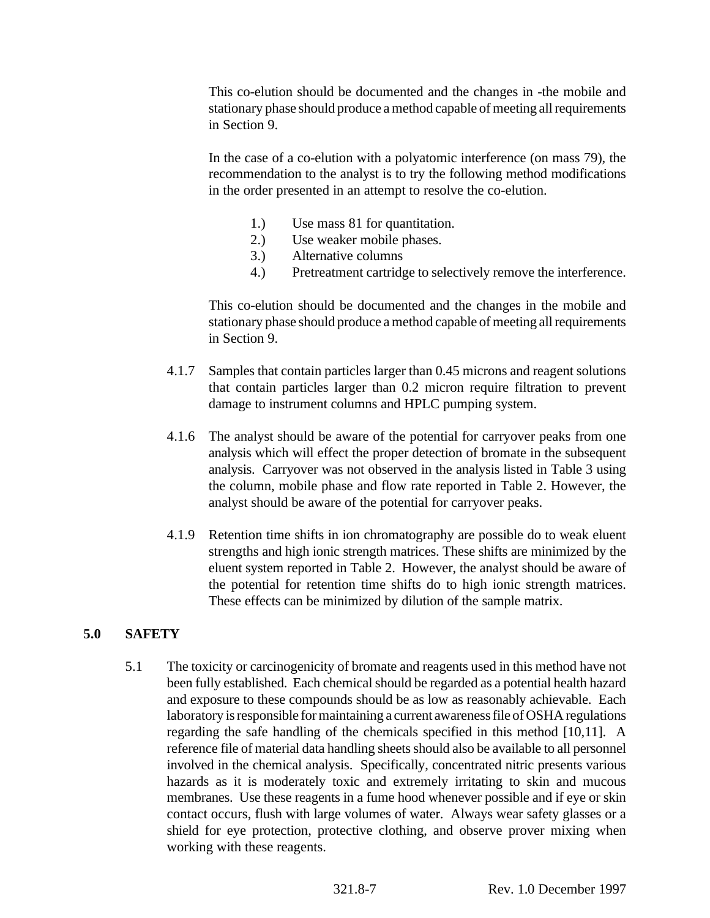This co-elution should be documented and the changes in -the mobile and stationary phase should produce a method capable of meeting all requirements in Section 9.

In the case of a co-elution with a polyatomic interference (on mass 79), the recommendation to the analyst is to try the following method modifications in the order presented in an attempt to resolve the co-elution.

- 1.) Use mass 81 for quantitation.
- 2.) Use weaker mobile phases.
- 3.) Alternative columns
- 4.) Pretreatment cartridge to selectively remove the interference.

This co-elution should be documented and the changes in the mobile and stationary phase should produce a method capable of meeting all requirements in Section 9.

- 4.1.7 Samples that contain particles larger than 0.45 microns and reagent solutions that contain particles larger than 0.2 micron require filtration to prevent damage to instrument columns and HPLC pumping system.
- 4.1.6 The analyst should be aware of the potential for carryover peaks from one analysis which will effect the proper detection of bromate in the subsequent analysis. Carryover was not observed in the analysis listed in Table 3 using the column, mobile phase and flow rate reported in Table 2. However, the analyst should be aware of the potential for carryover peaks.
- 4.1.9 Retention time shifts in ion chromatography are possible do to weak eluent strengths and high ionic strength matrices. These shifts are minimized by the eluent system reported in Table 2. However, the analyst should be aware of the potential for retention time shifts do to high ionic strength matrices. These effects can be minimized by dilution of the sample matrix.

# **5.0 SAFETY**

5.1 The toxicity or carcinogenicity of bromate and reagents used in this method have not been fully established. Each chemical should be regarded as a potential health hazard and exposure to these compounds should be as low as reasonably achievable. Each laboratory is responsible for maintaining a current awareness file of OSHA regulations regarding the safe handling of the chemicals specified in this method [10,11]. A reference file of material data handling sheets should also be available to all personnel involved in the chemical analysis. Specifically, concentrated nitric presents various hazards as it is moderately toxic and extremely irritating to skin and mucous membranes. Use these reagents in a fume hood whenever possible and if eye or skin contact occurs, flush with large volumes of water. Always wear safety glasses or a shield for eye protection, protective clothing, and observe prover mixing when working with these reagents.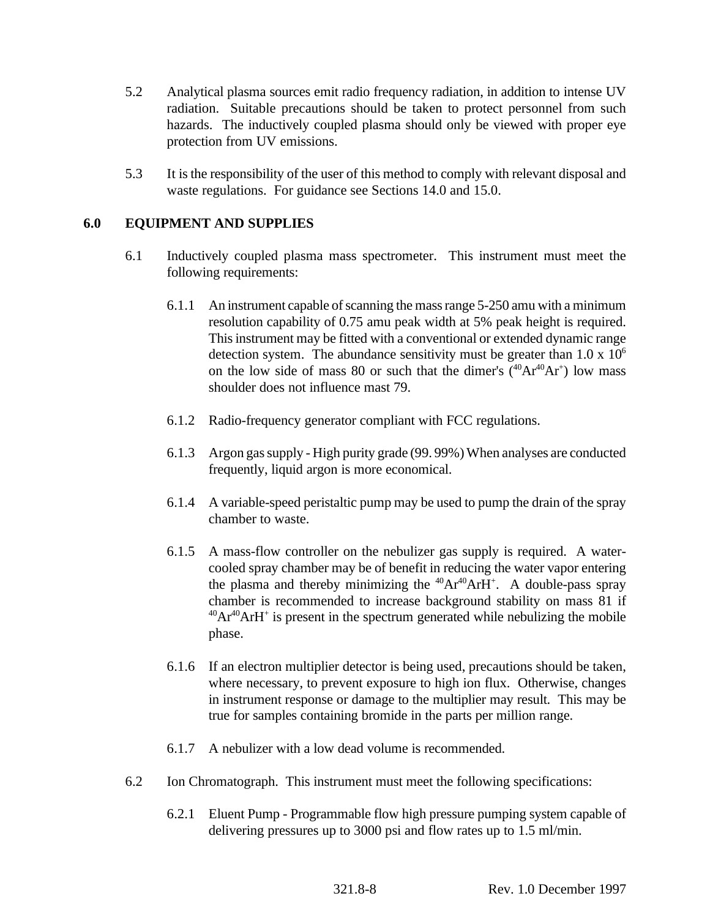- 5.2 Analytical plasma sources emit radio frequency radiation, in addition to intense UV radiation. Suitable precautions should be taken to protect personnel from such hazards. The inductively coupled plasma should only be viewed with proper eye protection from UV emissions.
- 5.3 It is the responsibility of the user of this method to comply with relevant disposal and waste regulations. For guidance see Sections 14.0 and 15.0.

# **6.0 EQUIPMENT AND SUPPLIES**

- 6.1 Inductively coupled plasma mass spectrometer. This instrument must meet the following requirements:
	- 6.1.1 An instrument capable of scanning the mass range 5-250 amu with a minimum resolution capability of 0.75 amu peak width at 5% peak height is required. This instrument may be fitted with a conventional or extended dynamic range detection system. The abundance sensitivity must be greater than  $1.0 \times 10^6$ on the low side of mass 80 or such that the dimer's  $(^{40}Ar^{40}Ar^{+})$  low mass shoulder does not influence mast 79.
	- 6.1.2 Radio-frequency generator compliant with FCC regulations.
	- 6.1.3 Argon gas supply High purity grade (99. 99%) When analyses are conducted frequently, liquid argon is more economical.
	- 6.1.4 A variable-speed peristaltic pump may be used to pump the drain of the spray chamber to waste.
	- 6.1.5 A mass-flow controller on the nebulizer gas supply is required. A watercooled spray chamber may be of benefit in reducing the water vapor entering the plasma and thereby minimizing the  $^{40}Ar^{40}ArH^+$ . A double-pass spray chamber is recommended to increase background stability on mass 81 if  $^{40}Ar^{40}ArH^{+}$  is present in the spectrum generated while nebulizing the mobile phase.
	- 6.1.6 If an electron multiplier detector is being used, precautions should be taken, where necessary, to prevent exposure to high ion flux. Otherwise, changes in instrument response or damage to the multiplier may result. This may be true for samples containing bromide in the parts per million range.
	- 6.1.7 A nebulizer with a low dead volume is recommended.
- 6.2 Ion Chromatograph. This instrument must meet the following specifications:
	- 6.2.1 Eluent Pump Programmable flow high pressure pumping system capable of delivering pressures up to 3000 psi and flow rates up to 1.5 ml/min.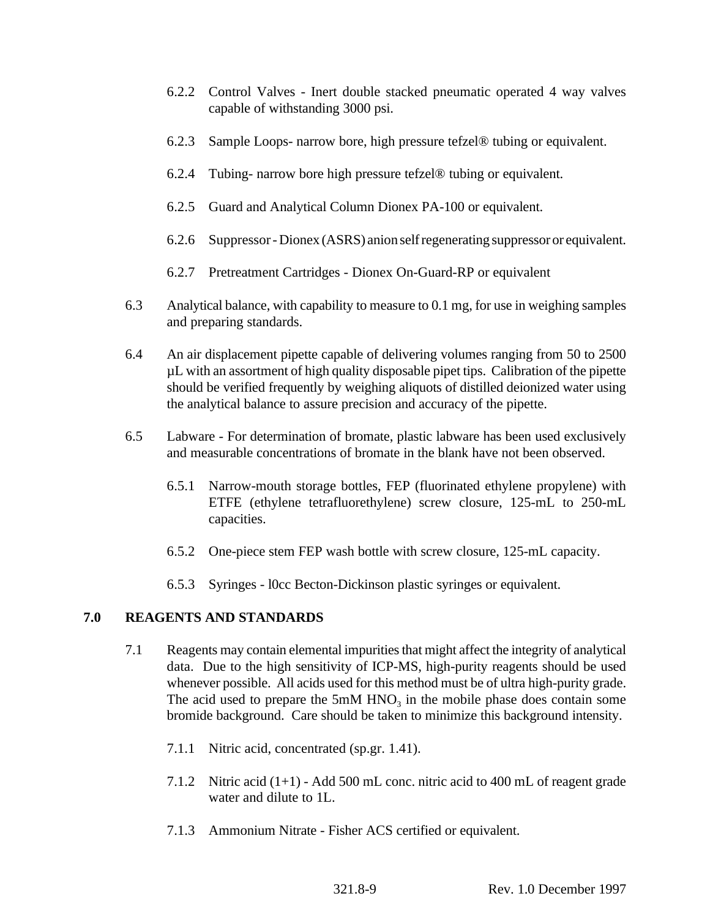- 6.2.2 Control Valves Inert double stacked pneumatic operated 4 way valves capable of withstanding 3000 psi.
- 6.2.3 Sample Loops- narrow bore, high pressure tefzel® tubing or equivalent.
- 6.2.4 Tubing- narrow bore high pressure tefzel® tubing or equivalent.
- 6.2.5 Guard and Analytical Column Dionex PA-100 or equivalent.
- 6.2.6 Suppressor Dionex (ASRS) anion self regenerating suppressor or equivalent.
- 6.2.7 Pretreatment Cartridges Dionex On-Guard-RP or equivalent
- 6.3 Analytical balance, with capability to measure to 0.1 mg, for use in weighing samples and preparing standards.
- 6.4 An air displacement pipette capable of delivering volumes ranging from 50 to 2500 µL with an assortment of high quality disposable pipet tips. Calibration of the pipette should be verified frequently by weighing aliquots of distilled deionized water using the analytical balance to assure precision and accuracy of the pipette.
- 6.5 Labware For determination of bromate, plastic labware has been used exclusively and measurable concentrations of bromate in the blank have not been observed.
	- 6.5.1 Narrow-mouth storage bottles, FEP (fluorinated ethylene propylene) with ETFE (ethylene tetrafluorethylene) screw closure, 125-mL to 250-mL capacities.
	- 6.5.2 One-piece stem FEP wash bottle with screw closure, 125-mL capacity.
	- 6.5.3 Syringes l0cc Becton-Dickinson plastic syringes or equivalent.

# **7.0 REAGENTS AND STANDARDS**

- 7.1 Reagents may contain elemental impurities that might affect the integrity of analytical data. Due to the high sensitivity of ICP-MS, high-purity reagents should be used whenever possible. All acids used for this method must be of ultra high-purity grade. The acid used to prepare the  $5mM HNO<sub>3</sub>$  in the mobile phase does contain some bromide background. Care should be taken to minimize this background intensity.
	- 7.1.1 Nitric acid, concentrated (sp.gr. 1.41).
	- 7.1.2 Nitric acid (1+1) Add 500 mL conc. nitric acid to 400 mL of reagent grade water and dilute to 1L.
	- 7.1.3 Ammonium Nitrate Fisher ACS certified or equivalent.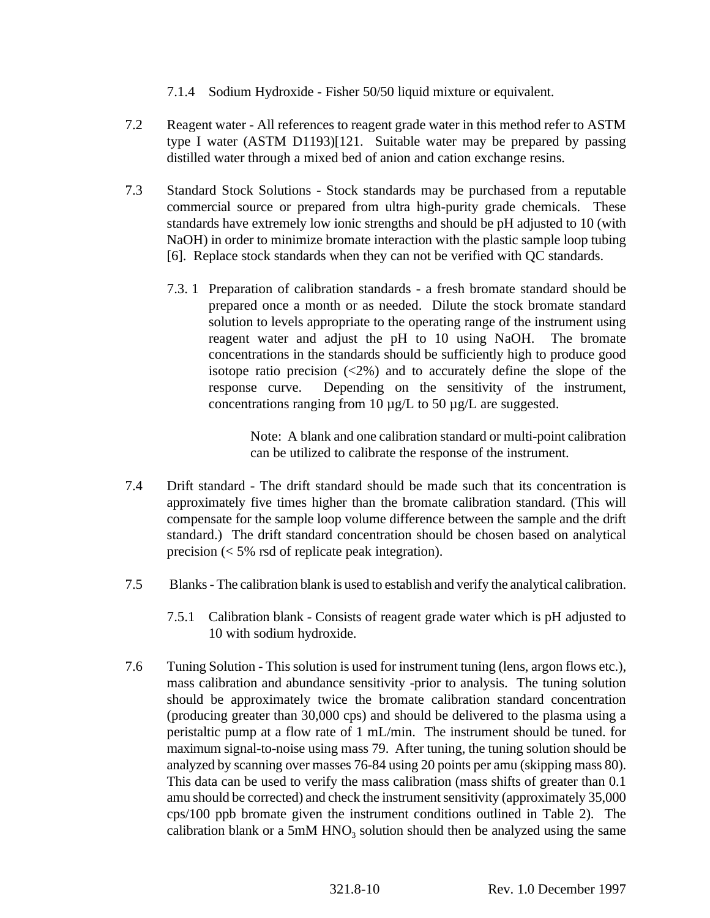- 7.1.4 Sodium Hydroxide Fisher 50/50 liquid mixture or equivalent.
- 7.2 Reagent water All references to reagent grade water in this method refer to ASTM type I water (ASTM D1193)[121. Suitable water may be prepared by passing distilled water through a mixed bed of anion and cation exchange resins.
- 7.3 Standard Stock Solutions Stock standards may be purchased from a reputable commercial source or prepared from ultra high-purity grade chemicals. These standards have extremely low ionic strengths and should be pH adjusted to 10 (with NaOH) in order to minimize bromate interaction with the plastic sample loop tubing [6]. Replace stock standards when they can not be verified with QC standards.
	- 7.3. 1 Preparation of calibration standards a fresh bromate standard should be prepared once a month or as needed. Dilute the stock bromate standard solution to levels appropriate to the operating range of the instrument using reagent water and adjust the pH to 10 using NaOH. The bromate concentrations in the standards should be sufficiently high to produce good isotope ratio precision  $\langle 2\% \rangle$  and to accurately define the slope of the response curve. Depending on the sensitivity of the instrument, concentrations ranging from 10  $\mu$ g/L to 50  $\mu$ g/L are suggested.

Note: A blank and one calibration standard or multi-point calibration can be utilized to calibrate the response of the instrument.

- 7.4 Drift standard The drift standard should be made such that its concentration is approximately five times higher than the bromate calibration standard. (This will compensate for the sample loop volume difference between the sample and the drift standard.) The drift standard concentration should be chosen based on analytical precision (< 5% rsd of replicate peak integration).
- 7.5 Blanks The calibration blank is used to establish and verify the analytical calibration.
	- 7.5.1 Calibration blank Consists of reagent grade water which is pH adjusted to 10 with sodium hydroxide.
- 7.6 Tuning Solution This solution is used for instrument tuning (lens, argon flows etc.), mass calibration and abundance sensitivity -prior to analysis. The tuning solution should be approximately twice the bromate calibration standard concentration (producing greater than 30,000 cps) and should be delivered to the plasma using a peristaltic pump at a flow rate of 1 mL/min. The instrument should be tuned. for maximum signal-to-noise using mass 79. After tuning, the tuning solution should be analyzed by scanning over masses 76-84 using 20 points per amu (skipping mass 80). This data can be used to verify the mass calibration (mass shifts of greater than 0.1 amu should be corrected) and check the instrument sensitivity (approximately 35,000 cps/100 ppb bromate given the instrument conditions outlined in Table 2). The calibration blank or a  $5 \text{m}$ M HNO<sub>3</sub> solution should then be analyzed using the same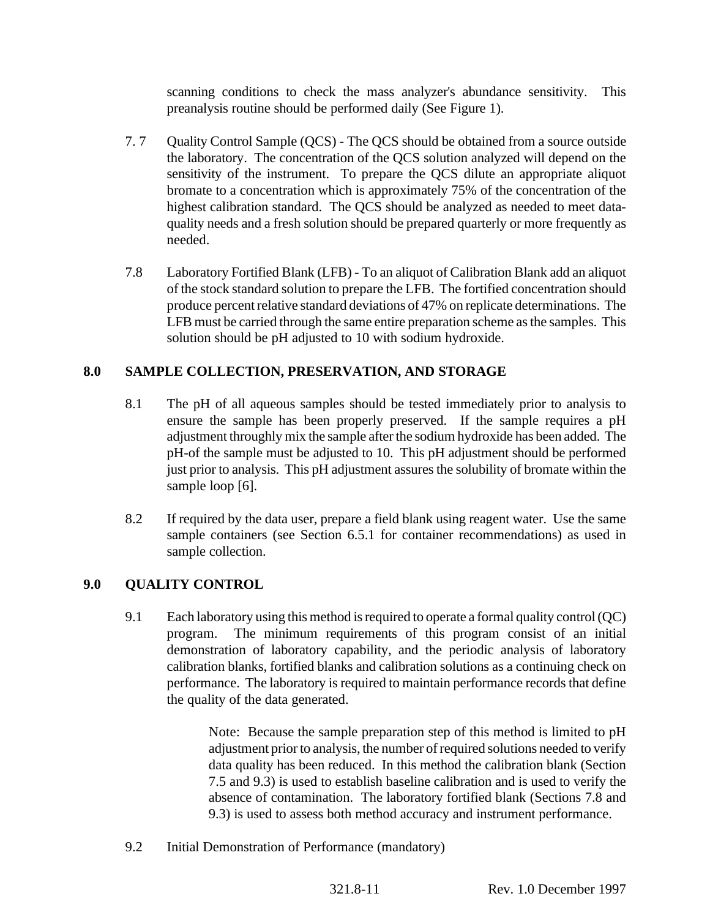scanning conditions to check the mass analyzer's abundance sensitivity. This preanalysis routine should be performed daily (See Figure 1).

- 7. 7 Quality Control Sample (QCS) The QCS should be obtained from a source outside the laboratory. The concentration of the QCS solution analyzed will depend on the sensitivity of the instrument. To prepare the QCS dilute an appropriate aliquot bromate to a concentration which is approximately 75% of the concentration of the highest calibration standard. The QCS should be analyzed as needed to meet dataquality needs and a fresh solution should be prepared quarterly or more frequently as needed.
- 7.8 Laboratory Fortified Blank (LFB) To an aliquot of Calibration Blank add an aliquot of the stock standard solution to prepare the LFB. The fortified concentration should produce percent relative standard deviations of 47% on replicate determinations. The LFB must be carried through the same entire preparation scheme as the samples. This solution should be pH adjusted to 10 with sodium hydroxide.

# **8.0 SAMPLE COLLECTION, PRESERVATION, AND STORAGE**

- 8.1 The pH of all aqueous samples should be tested immediately prior to analysis to ensure the sample has been properly preserved. If the sample requires a pH adjustment throughly mix the sample after the sodium hydroxide has been added. The pH-of the sample must be adjusted to 10. This pH adjustment should be performed just prior to analysis. This pH adjustment assures the solubility of bromate within the sample loop [6].
- 8.2 If required by the data user, prepare a field blank using reagent water. Use the same sample containers (see Section 6.5.1 for container recommendations) as used in sample collection.

# **9.0 QUALITY CONTROL**

9.1 Each laboratory using this method is required to operate a formal quality control (QC) program. The minimum requirements of this program consist of an initial demonstration of laboratory capability, and the periodic analysis of laboratory calibration blanks, fortified blanks and calibration solutions as a continuing check on performance. The laboratory is required to maintain performance records that define the quality of the data generated.

> Note: Because the sample preparation step of this method is limited to pH adjustment prior to analysis, the number of required solutions needed to verify data quality has been reduced. In this method the calibration blank (Section 7.5 and 9.3) is used to establish baseline calibration and is used to verify the absence of contamination. The laboratory fortified blank (Sections 7.8 and 9.3) is used to assess both method accuracy and instrument performance.

9.2 Initial Demonstration of Performance (mandatory)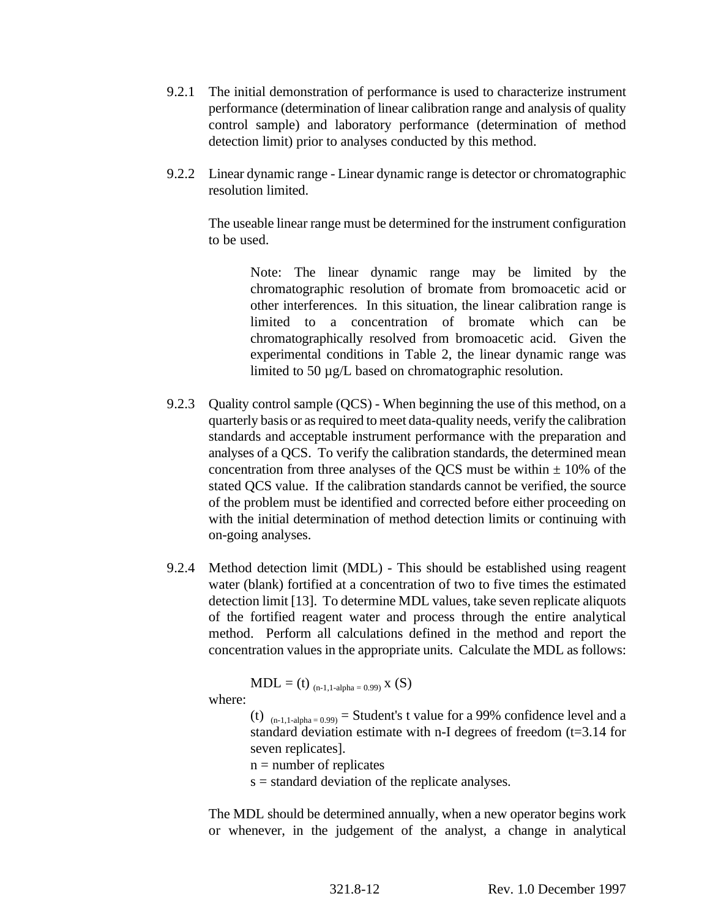- 9.2.1 The initial demonstration of performance is used to characterize instrument performance (determination of linear calibration range and analysis of quality control sample) and laboratory performance (determination of method detection limit) prior to analyses conducted by this method.
- 9.2.2 Linear dynamic range Linear dynamic range is detector or chromatographic resolution limited.

The useable linear range must be determined for the instrument configuration to be used.

Note: The linear dynamic range may be limited by the chromatographic resolution of bromate from bromoacetic acid or other interferences. In this situation, the linear calibration range is limited to a concentration of bromate which can be chromatographically resolved from bromoacetic acid. Given the experimental conditions in Table 2, the linear dynamic range was limited to 50 µg/L based on chromatographic resolution.

- 9.2.3 Quality control sample (QCS) When beginning the use of this method, on a quarterly basis or as required to meet data-quality needs, verify the calibration standards and acceptable instrument performance with the preparation and analyses of a QCS. To verify the calibration standards, the determined mean concentration from three analyses of the QCS must be within  $\pm$  10% of the stated QCS value. If the calibration standards cannot be verified, the source of the problem must be identified and corrected before either proceeding on with the initial determination of method detection limits or continuing with on-going analyses.
- 9.2.4 Method detection limit (MDL) This should be established using reagent water (blank) fortified at a concentration of two to five times the estimated detection limit [13]. To determine MDL values, take seven replicate aliquots of the fortified reagent water and process through the entire analytical method. Perform all calculations defined in the method and report the concentration values in the appropriate units. Calculate the MDL as follows:

$$
MDL = (t)_{(n-1,1\text{-alpha}=0.99)} \, x \ (S)
$$

where:

(t)  $_{(n-1,1-alpha=0.99)}$  = Student's t value for a 99% confidence level and a standard deviation estimate with n-I degrees of freedom (t=3.14 for seven replicates].

 $n =$  number of replicates

s = standard deviation of the replicate analyses.

The MDL should be determined annually, when a new operator begins work or whenever, in the judgement of the analyst, a change in analytical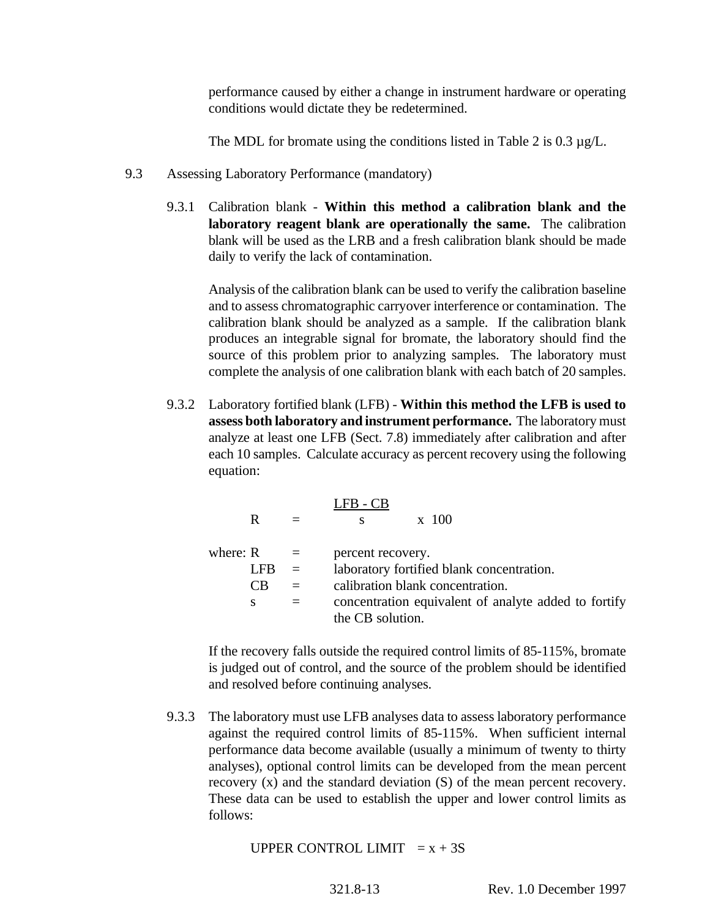performance caused by either a change in instrument hardware or operating conditions would dictate they be redetermined.

The MDL for bromate using the conditions listed in Table 2 is 0.3  $\mu$ g/L.

- 9.3 Assessing Laboratory Performance (mandatory)
	- 9.3.1 Calibration blank **Within this method a calibration blank and the laboratory reagent blank are operationally the same.** The calibration blank will be used as the LRB and a fresh calibration blank should be made daily to verify the lack of contamination.

Analysis of the calibration blank can be used to verify the calibration baseline and to assess chromatographic carryover interference or contamination. The calibration blank should be analyzed as a sample. If the calibration blank produces an integrable signal for bromate, the laboratory should find the source of this problem prior to analyzing samples. The laboratory must complete the analysis of one calibration blank with each batch of 20 samples.

9.3.2 Laboratory fortified blank (LFB) - **Within this method the LFB is used to assess both laboratory and instrument performance.** The laboratory must analyze at least one LFB (Sect. 7.8) immediately after calibration and after each 10 samples. Calculate accuracy as percent recovery using the following equation:

|            | R   |          |                   | $\mathrm{x}$ 100                                     |
|------------|-----|----------|-------------------|------------------------------------------------------|
| where: $R$ |     | $\equiv$ | percent recovery. |                                                      |
|            | LFB | $=$      |                   | laboratory fortified blank concentration.            |
|            | €B  |          |                   | calibration blank concentration.                     |
|            | S   |          |                   | concentration equivalent of analyte added to fortify |
|            |     |          | the CB solution.  |                                                      |

If the recovery falls outside the required control limits of 85-115%, bromate is judged out of control, and the source of the problem should be identified and resolved before continuing analyses.

9.3.3 The laboratory must use LFB analyses data to assess laboratory performance against the required control limits of 85-115%. When sufficient internal performance data become available (usually a minimum of twenty to thirty analyses), optional control limits can be developed from the mean percent recovery (x) and the standard deviation (S) of the mean percent recovery. These data can be used to establish the upper and lower control limits as follows:

UPPER CONTROL LIMIT  $= x + 3S$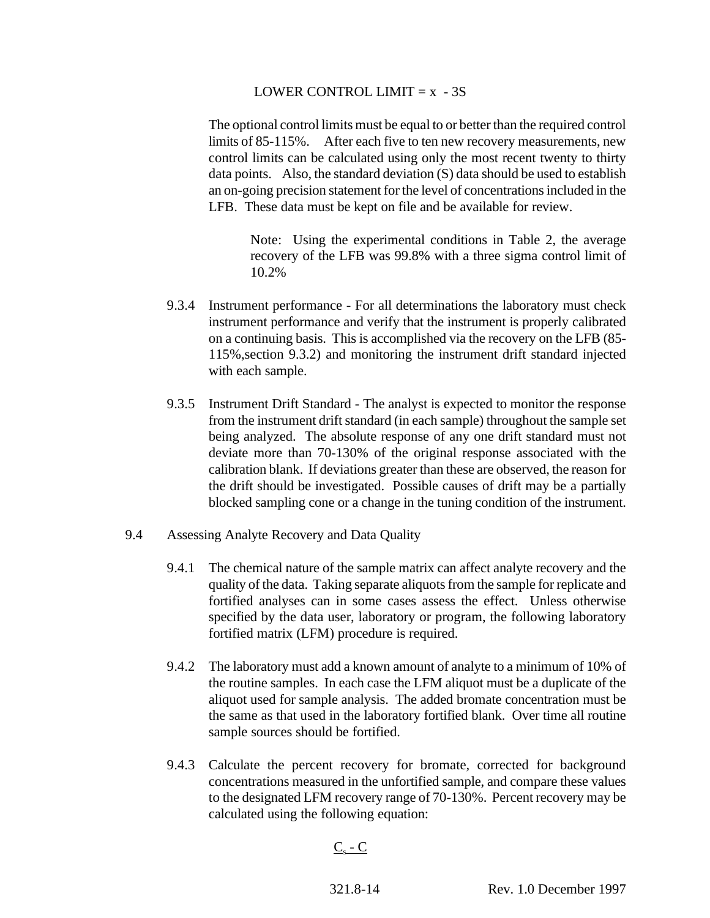#### LOWER CONTROL LIMIT  $= x - 3S$

The optional control limits must be equal to or better than the required control limits of 85-115%. After each five to ten new recovery measurements, new control limits can be calculated using only the most recent twenty to thirty data points. Also, the standard deviation (S) data should be used to establish an on-going precision statement for the level of concentrations included in the LFB. These data must be kept on file and be available for review.

Note: Using the experimental conditions in Table 2, the average recovery of the LFB was 99.8% with a three sigma control limit of 10.2%

- 9.3.4 Instrument performance For all determinations the laboratory must check instrument performance and verify that the instrument is properly calibrated on a continuing basis. This is accomplished via the recovery on the LFB (85- 115%,section 9.3.2) and monitoring the instrument drift standard injected with each sample.
- 9.3.5 Instrument Drift Standard The analyst is expected to monitor the response from the instrument drift standard (in each sample) throughout the sample set being analyzed. The absolute response of any one drift standard must not deviate more than 70-130% of the original response associated with the calibration blank. If deviations greater than these are observed, the reason for the drift should be investigated. Possible causes of drift may be a partially blocked sampling cone or a change in the tuning condition of the instrument.
- 9.4 Assessing Analyte Recovery and Data Quality
	- 9.4.1 The chemical nature of the sample matrix can affect analyte recovery and the quality of the data. Taking separate aliquots from the sample for replicate and fortified analyses can in some cases assess the effect. Unless otherwise specified by the data user, laboratory or program, the following laboratory fortified matrix (LFM) procedure is required.
	- 9.4.2 The laboratory must add a known amount of analyte to a minimum of 10% of the routine samples. In each case the LFM aliquot must be a duplicate of the aliquot used for sample analysis. The added bromate concentration must be the same as that used in the laboratory fortified blank. Over time all routine sample sources should be fortified.
	- 9.4.3 Calculate the percent recovery for bromate, corrected for background concentrations measured in the unfortified sample, and compare these values to the designated LFM recovery range of 70-130%. Percent recovery may be calculated using the following equation:

# $C_s$  -  $C$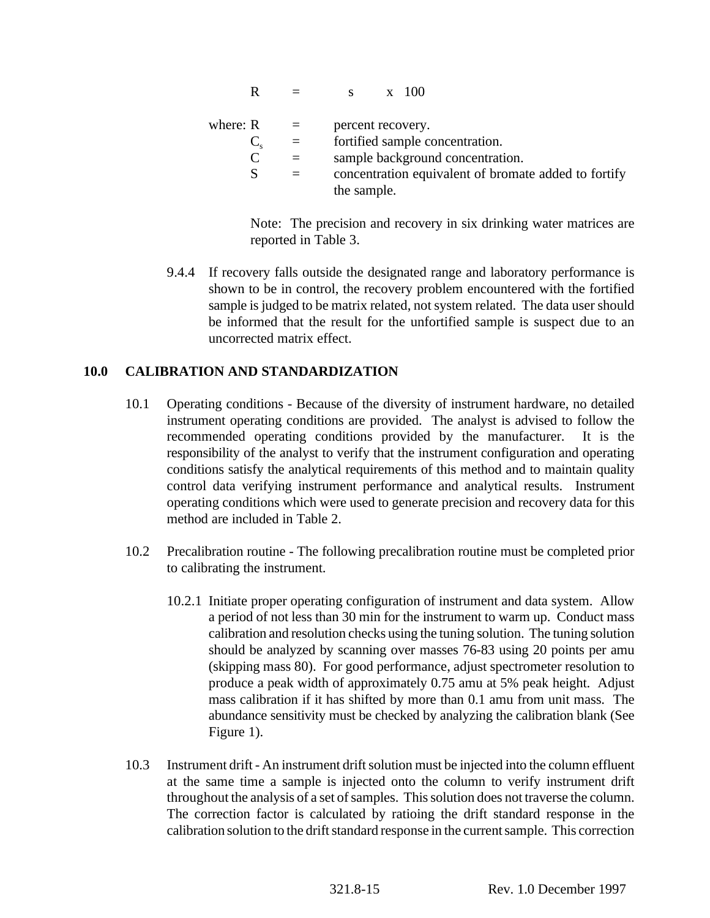$R = s \times 100$ where:  $R =$  percent recovery.  $C_s$  = fortified sample concentration.<br>  $C$  = sample background concentration.  $=$  sample background concentration.  $S =$  concentration equivalent of bromate added to fortify the sample.

> Note: The precision and recovery in six drinking water matrices are reported in Table 3.

9.4.4 If recovery falls outside the designated range and laboratory performance is shown to be in control, the recovery problem encountered with the fortified sample is judged to be matrix related, not system related. The data user should be informed that the result for the unfortified sample is suspect due to an uncorrected matrix effect.

### **10.0 CALIBRATION AND STANDARDIZATION**

- 10.1 Operating conditions Because of the diversity of instrument hardware, no detailed instrument operating conditions are provided. The analyst is advised to follow the recommended operating conditions provided by the manufacturer. It is the responsibility of the analyst to verify that the instrument configuration and operating conditions satisfy the analytical requirements of this method and to maintain quality control data verifying instrument performance and analytical results. Instrument operating conditions which were used to generate precision and recovery data for this method are included in Table 2.
- 10.2 Precalibration routine The following precalibration routine must be completed prior to calibrating the instrument.
	- 10.2.1 Initiate proper operating configuration of instrument and data system. Allow a period of not less than 30 min for the instrument to warm up. Conduct mass calibration and resolution checks using the tuning solution. The tuning solution should be analyzed by scanning over masses 76-83 using 20 points per amu (skipping mass 80). For good performance, adjust spectrometer resolution to produce a peak width of approximately 0.75 amu at 5% peak height. Adjust mass calibration if it has shifted by more than 0.1 amu from unit mass. The abundance sensitivity must be checked by analyzing the calibration blank (See Figure 1).
- 10.3 Instrument drift An instrument drift solution must be injected into the column effluent at the same time a sample is injected onto the column to verify instrument drift throughout the analysis of a set of samples. This solution does not traverse the column. The correction factor is calculated by ratioing the drift standard response in the calibration solution to the drift standard response in the current sample. This correction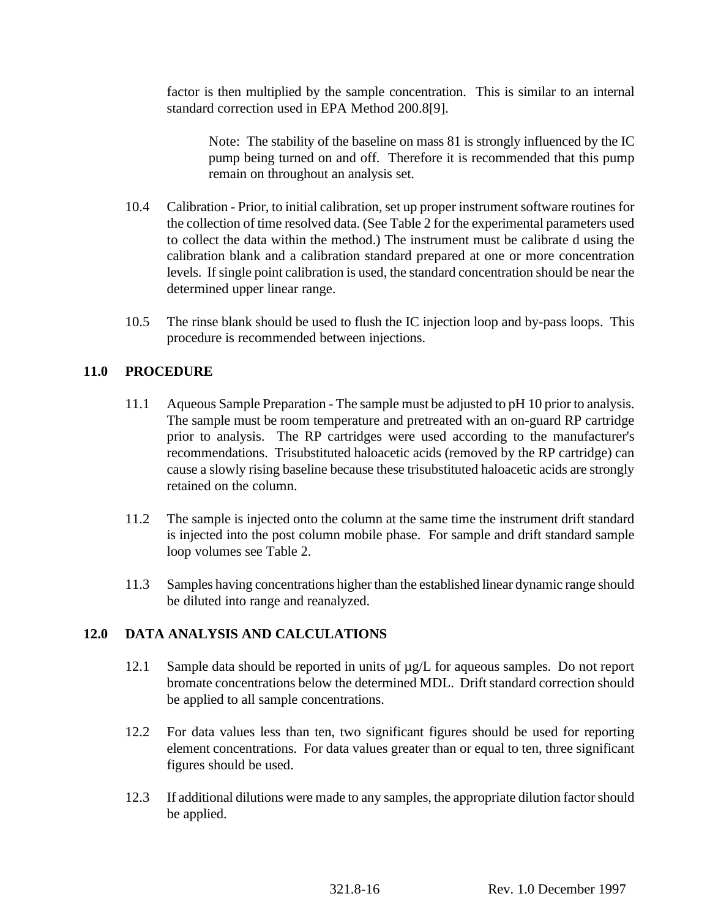factor is then multiplied by the sample concentration. This is similar to an internal standard correction used in EPA Method 200.8[9].

Note: The stability of the baseline on mass 81 is strongly influenced by the IC pump being turned on and off. Therefore it is recommended that this pump remain on throughout an analysis set.

- 10.4 Calibration Prior, to initial calibration, set up proper instrument software routines for the collection of time resolved data. (See Table 2 for the experimental parameters used to collect the data within the method.) The instrument must be calibrate d using the calibration blank and a calibration standard prepared at one or more concentration levels. If single point calibration is used, the standard concentration should be near the determined upper linear range.
- 10.5 The rinse blank should be used to flush the IC injection loop and by-pass loops. This procedure is recommended between injections.

# **11.0 PROCEDURE**

- 11.1 Aqueous Sample Preparation The sample must be adjusted to pH 10 prior to analysis. The sample must be room temperature and pretreated with an on-guard RP cartridge prior to analysis. The RP cartridges were used according to the manufacturer's recommendations. Trisubstituted haloacetic acids (removed by the RP cartridge) can cause a slowly rising baseline because these trisubstituted haloacetic acids are strongly retained on the column.
- 11.2 The sample is injected onto the column at the same time the instrument drift standard is injected into the post column mobile phase. For sample and drift standard sample loop volumes see Table 2.
- 11.3 Samples having concentrations higher than the established linear dynamic range should be diluted into range and reanalyzed.

#### **12.0 DATA ANALYSIS AND CALCULATIONS**

- 12.1 Sample data should be reported in units of  $\mu$ g/L for aqueous samples. Do not report bromate concentrations below the determined MDL. Drift standard correction should be applied to all sample concentrations.
- 12.2 For data values less than ten, two significant figures should be used for reporting element concentrations. For data values greater than or equal to ten, three significant figures should be used.
- 12.3 If additional dilutions were made to any samples, the appropriate dilution factor should be applied.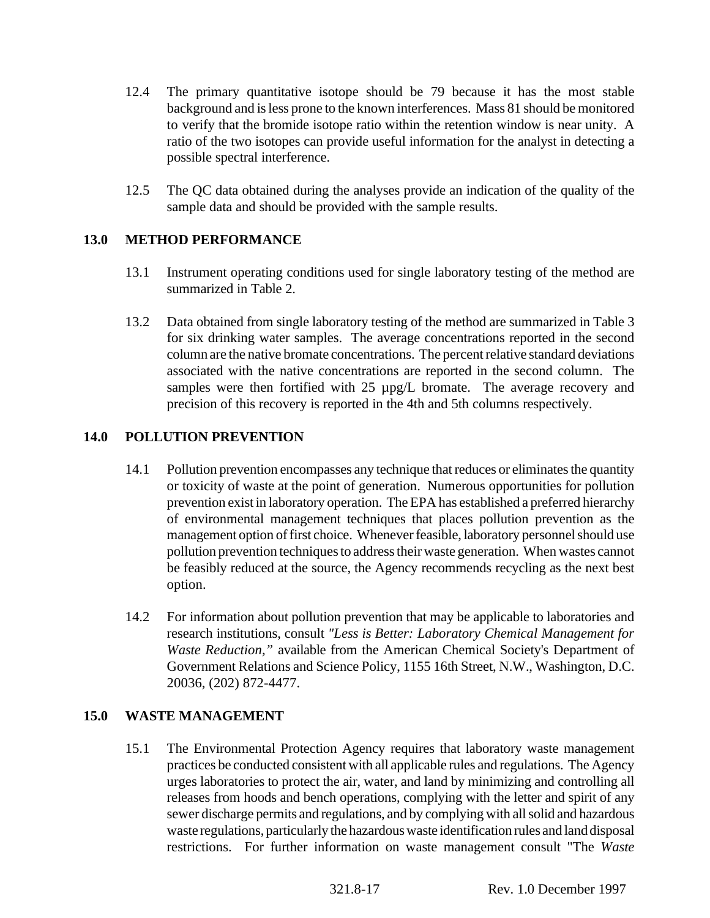- 12.4 The primary quantitative isotope should be 79 because it has the most stable background and is less prone to the known interferences. Mass 81 should be monitored to verify that the bromide isotope ratio within the retention window is near unity. A ratio of the two isotopes can provide useful information for the analyst in detecting a possible spectral interference.
- 12.5 The QC data obtained during the analyses provide an indication of the quality of the sample data and should be provided with the sample results.

### **13.0 METHOD PERFORMANCE**

- 13.1 Instrument operating conditions used for single laboratory testing of the method are summarized in Table 2.
- 13.2 Data obtained from single laboratory testing of the method are summarized in Table 3 for six drinking water samples. The average concentrations reported in the second column are the native bromate concentrations. The percent relative standard deviations associated with the native concentrations are reported in the second column. The samples were then fortified with 25  $\mu$ pg/L bromate. The average recovery and precision of this recovery is reported in the 4th and 5th columns respectively.

# **14.0 POLLUTION PREVENTION**

- 14.1 Pollution prevention encompasses any technique that reduces or eliminates the quantity or toxicity of waste at the point of generation. Numerous opportunities for pollution prevention exist in laboratory operation. The EPA has established a preferred hierarchy of environmental management techniques that places pollution prevention as the management option of first choice. Whenever feasible, laboratory personnel should use pollution prevention techniques to address their waste generation. When wastes cannot be feasibly reduced at the source, the Agency recommends recycling as the next best option.
- 14.2 For information about pollution prevention that may be applicable to laboratories and research institutions, consult *"Less is Better: Laboratory Chemical Management for Waste Reduction,"* available from the American Chemical Society's Department of Government Relations and Science Policy, 1155 16th Street, N.W., Washington, D.C. 20036, (202) 872-4477.

#### **15.0 WASTE MANAGEMENT**

15.1 The Environmental Protection Agency requires that laboratory waste management practices be conducted consistent with all applicable rules and regulations. The Agency urges laboratories to protect the air, water, and land by minimizing and controlling all releases from hoods and bench operations, complying with the letter and spirit of any sewer discharge permits and regulations, and by complying with all solid and hazardous waste regulations, particularly the hazardous waste identification rules and land disposal restrictions. For further information on waste management consult "The *Waste*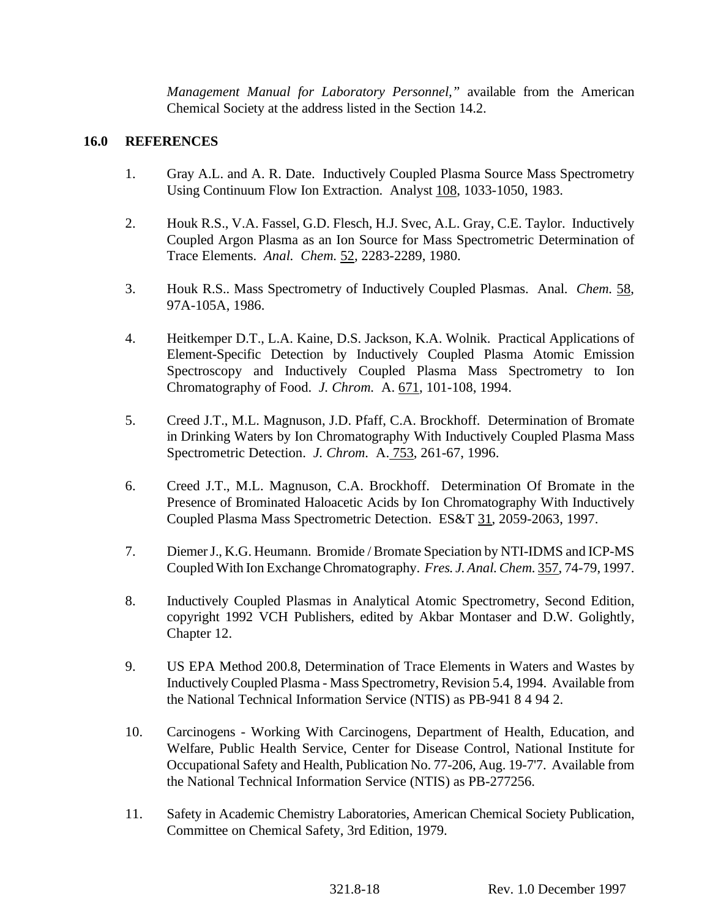*Management Manual for Laboratory Personnel,"* available from the American Chemical Society at the address listed in the Section 14.2.

#### **16.0 REFERENCES**

- 1. Gray A.L. and A. R. Date. Inductively Coupled Plasma Source Mass Spectrometry Using Continuum Flow Ion Extraction. Analyst 108, 1033-1050, 1983.
- 2. Houk R.S., V.A. Fassel, G.D. Flesch, H.J. Svec, A.L. Gray, C.E. Taylor. Inductively Coupled Argon Plasma as an Ion Source for Mass Spectrometric Determination of Trace Elements. *Anal. Chem.* 52, 2283-2289, 1980.
- 3. Houk R.S.. Mass Spectrometry of Inductively Coupled Plasmas. Anal. *Chem.* 58, 97A-105A, 1986.
- 4. Heitkemper D.T., L.A. Kaine, D.S. Jackson, K.A. Wolnik. Practical Applications of Element-Specific Detection by Inductively Coupled Plasma Atomic Emission Spectroscopy and Inductively Coupled Plasma Mass Spectrometry to Ion Chromatography of Food. *J. Chrom.* A. 671, 101-108, 1994.
- 5. Creed J.T., M.L. Magnuson, J.D. Pfaff, C.A. Brockhoff. Determination of Bromate in Drinking Waters by Ion Chromatography With Inductively Coupled Plasma Mass Spectrometric Detection. *J. Chrom.* A. 753, 261-67, 1996.
- 6. Creed J.T., M.L. Magnuson, C.A. Brockhoff. Determination Of Bromate in the Presence of Brominated Haloacetic Acids by Ion Chromatography With Inductively Coupled Plasma Mass Spectrometric Detection. ES&T 31, 2059-2063, 1997.
- 7. Diemer J., K.G. Heumann. Bromide / Bromate Speciation by NTI-IDMS and ICP-MS Coupled With Ion Exchange Chromatography. *Fres. J. Anal. Chem.* 357, 74-79, 1997.
- 8. Inductively Coupled Plasmas in Analytical Atomic Spectrometry, Second Edition, copyright 1992 VCH Publishers, edited by Akbar Montaser and D.W. Golightly, Chapter 12.
- 9. US EPA Method 200.8, Determination of Trace Elements in Waters and Wastes by Inductively Coupled Plasma - Mass Spectrometry, Revision 5.4, 1994. Available from the National Technical Information Service (NTIS) as PB-941 8 4 94 2.
- 10. Carcinogens Working With Carcinogens, Department of Health, Education, and Welfare, Public Health Service, Center for Disease Control, National Institute for Occupational Safety and Health, Publication No. 77-206, Aug. 19-7'7. Available from the National Technical Information Service (NTIS) as PB-277256.
- 11. Safety in Academic Chemistry Laboratories, American Chemical Society Publication, Committee on Chemical Safety, 3rd Edition, 1979.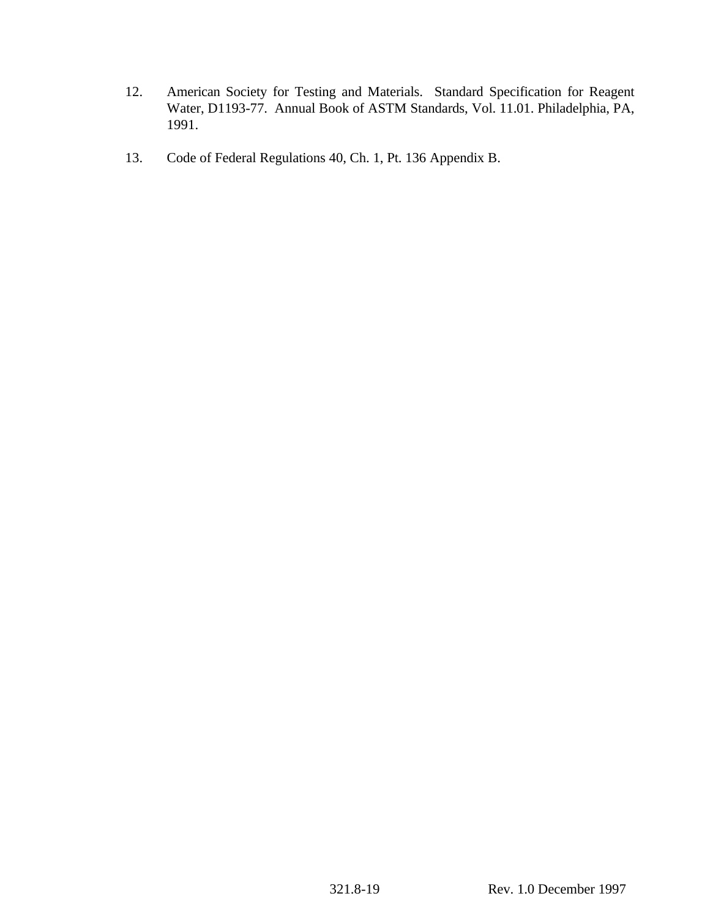- 12. American Society for Testing and Materials. Standard Specification for Reagent Water, D1193-77. Annual Book of ASTM Standards, Vol. 11.01. Philadelphia, PA, 1991.
- 13. Code of Federal Regulations 40, Ch. 1, Pt. 136 Appendix B.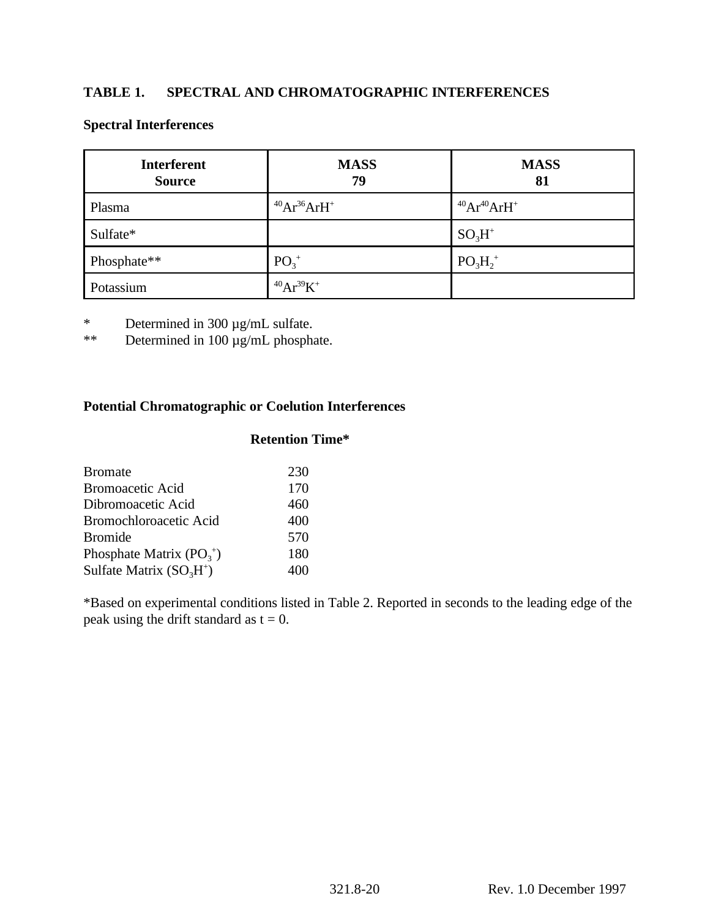# **TABLE 1. SPECTRAL AND CHROMATOGRAPHIC INTERFERENCES**

| <b>Interferent</b><br><b>Source</b> | <b>MASS</b><br>79   | <b>MASS</b><br>81 |
|-------------------------------------|---------------------|-------------------|
| Plasma                              | $^{40}Ar^{36}ArH^+$ | $40Ar^{40}ArH^+$  |
| Sulfate*                            |                     | $SO_3H^+$         |
| Phosphate**                         | $PO_3^+$            | $PO_3H_2^+$       |
| Potassium                           | $^{40}Ar^{39}K^+$   |                   |

### **Spectral Interferences**

\* Determined in 300  $\mu$ g/mL sulfate.<br>\*\* Determined in 100  $\mu$ g/mL phosph

Determined in  $100 \mu g/mL$  phosphate.

# **Potential Chromatographic or Coelution Interferences**

# **Retention Time\***

| 230 |
|-----|
| 170 |
| 460 |
| 400 |
| 570 |
| 180 |
| 400 |
|     |

\*Based on experimental conditions listed in Table 2. Reported in seconds to the leading edge of the peak using the drift standard as  $t = 0$ .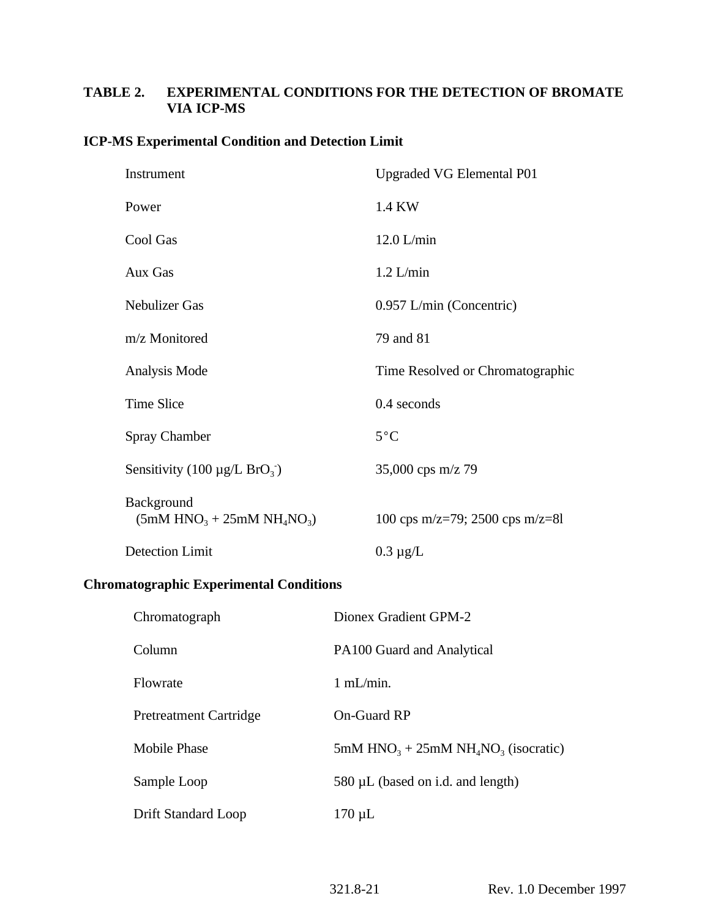# **TABLE 2. EXPERIMENTAL CONDITIONS FOR THE DETECTION OF BROMATE VIA ICP-MS**

### **ICP-MS Experimental Condition and Detection Limit**

| Instrument                                    | <b>Upgraded VG Elemental P01</b> |
|-----------------------------------------------|----------------------------------|
| Power                                         | 1.4 KW                           |
| Cool Gas                                      | $12.0$ L/min                     |
| Aux Gas                                       | $1.2$ L/min                      |
| <b>Nebulizer Gas</b>                          | 0.957 L/min (Concentric)         |
| m/z Monitored                                 | 79 and 81                        |
| Analysis Mode                                 | Time Resolved or Chromatographic |
| <b>Time Slice</b>                             | 0.4 seconds                      |
| Spray Chamber                                 | $5^{\circ}$ C                    |
| Sensitivity (100 $\mu$ g/L BrO <sub>3</sub> ) | 35,000 cps $m/z$ 79              |
| Background<br>$(5mM HNO3 + 25mM NH4NO3)$      | 100 cps m/z=79; 2500 cps m/z=81  |
| <b>Detection Limit</b>                        | $0.3 \mu g/L$                    |

# **Chromatographic Experimental Conditions**

| Chromatograph                 | Dionex Gradient GPM-2                  |
|-------------------------------|----------------------------------------|
| Column                        | PA100 Guard and Analytical             |
| Flowrate                      | $1 \text{ mL/min}$ .                   |
| <b>Pretreatment Cartridge</b> | <b>On-Guard RP</b>                     |
| <b>Mobile Phase</b>           | 5mM $HNO3 + 25mM NH4NO3$ (isocratic)   |
| Sample Loop                   | $580 \mu L$ (based on i.d. and length) |
| Drift Standard Loop           | $170 \mu L$                            |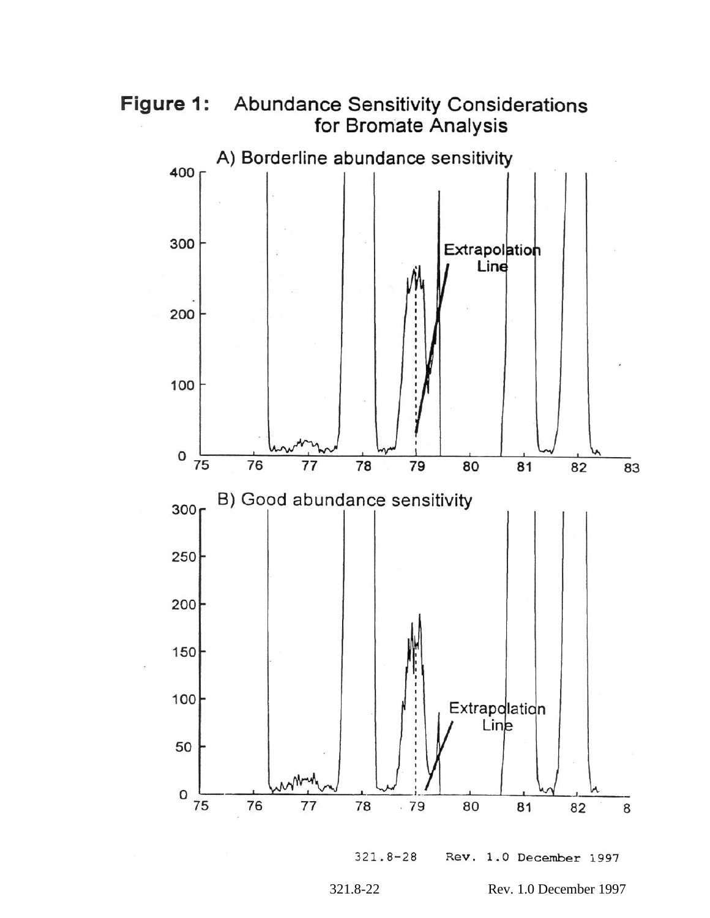



Rev. 1.0 December 1997  $321.8 - 28$ 

321.8-22 Rev. 1.0 December 1997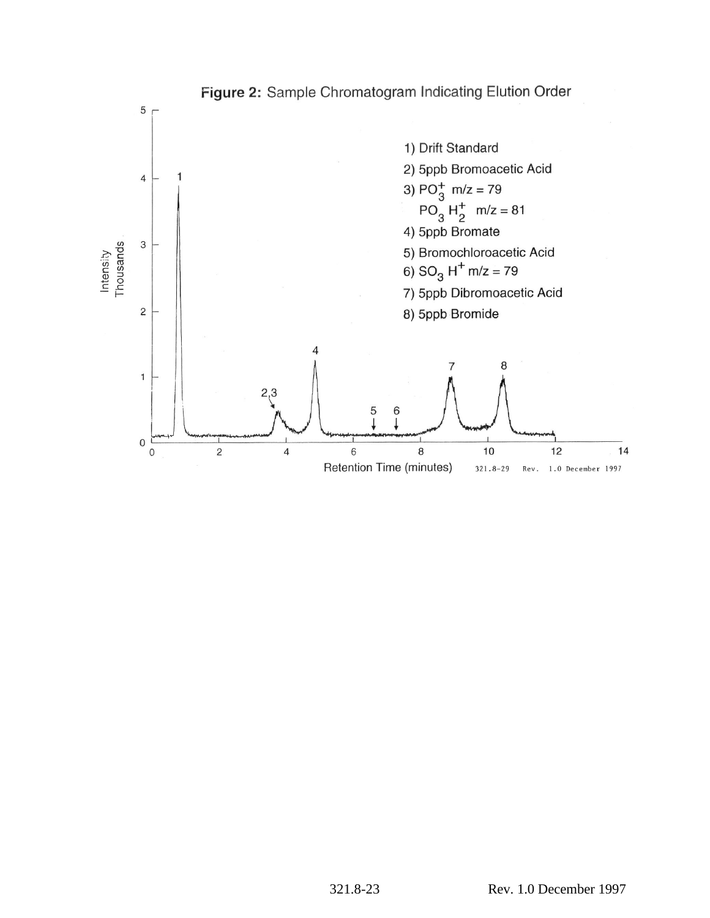

# Figure 2: Sample Chromatogram Indicating Elution Order